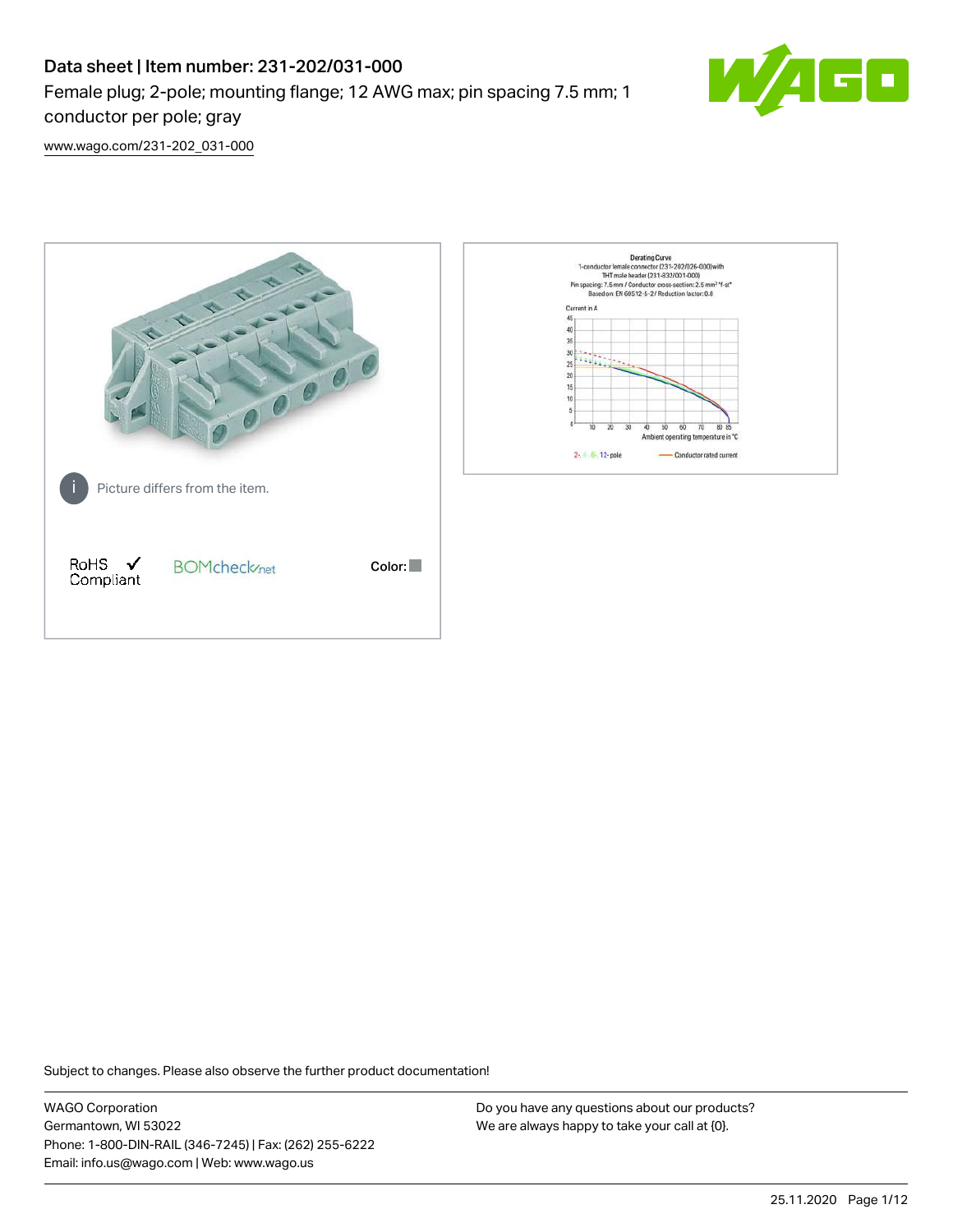# Data sheet | Item number: 231-202/031-000 Female plug; 2-pole; mounting flange; 12 AWG max; pin spacing 7.5 mm; 1 conductor per pole; gray



[www.wago.com/231-202\\_031-000](http://www.wago.com/231-202_031-000)



Subject to changes. Please also observe the further product documentation!

WAGO Corporation Germantown, WI 53022 Phone: 1-800-DIN-RAIL (346-7245) | Fax: (262) 255-6222 Email: info.us@wago.com | Web: www.wago.us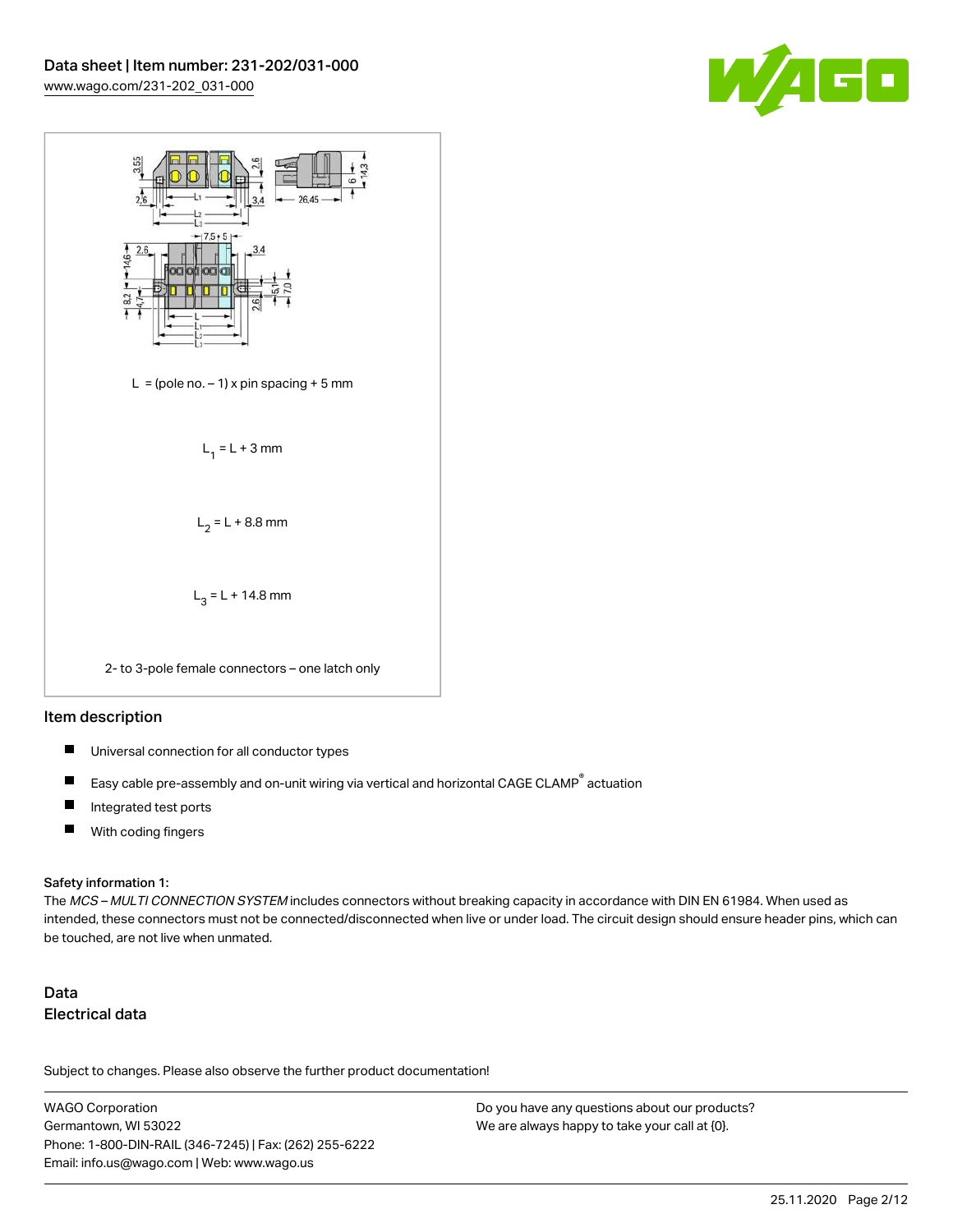



#### Item description

- П Universal connection for all conductor types
- Easy cable pre-assembly and on-unit wiring via vertical and horizontal CAGE CLAMP® actuation П
- $\blacksquare$ Integrated test ports
- $\blacksquare$ With coding fingers

#### Safety information 1:

The MCS – MULTI CONNECTION SYSTEM includes connectors without breaking capacity in accordance with DIN EN 61984. When used as intended, these connectors must not be connected/disconnected when live or under load. The circuit design should ensure header pins, which can be touched, are not live when unmated.

# Data Electrical data

Subject to changes. Please also observe the further product documentation!

WAGO Corporation Germantown, WI 53022 Phone: 1-800-DIN-RAIL (346-7245) | Fax: (262) 255-6222 Email: info.us@wago.com | Web: www.wago.us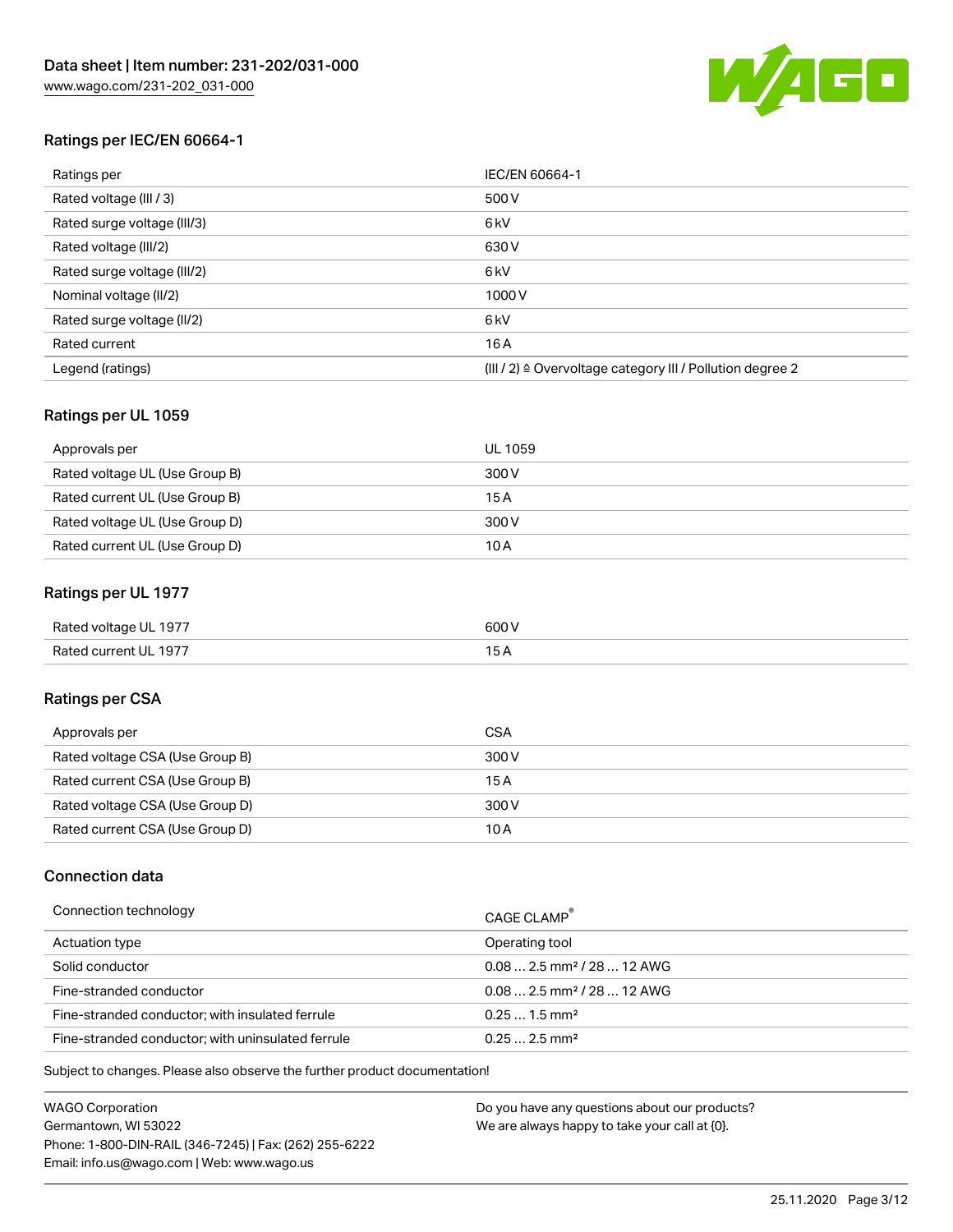

# Ratings per IEC/EN 60664-1

| Ratings per                 | IEC/EN 60664-1                                            |
|-----------------------------|-----------------------------------------------------------|
| Rated voltage (III / 3)     | 500 V                                                     |
| Rated surge voltage (III/3) | 6 <sub>kV</sub>                                           |
| Rated voltage (III/2)       | 630 V                                                     |
| Rated surge voltage (III/2) | 6 <sub>kV</sub>                                           |
| Nominal voltage (II/2)      | 1000V                                                     |
| Rated surge voltage (II/2)  | 6 <sub>kV</sub>                                           |
| Rated current               | 16A                                                       |
| Legend (ratings)            | (III / 2) ≙ Overvoltage category III / Pollution degree 2 |

## Ratings per UL 1059

| Approvals per                  | UL 1059 |
|--------------------------------|---------|
| Rated voltage UL (Use Group B) | 300 V   |
| Rated current UL (Use Group B) | 15 A    |
| Rated voltage UL (Use Group D) | 300 V   |
| Rated current UL (Use Group D) | 10 A    |

## Ratings per UL 1977

| Rated voltage UL 1977 | 600 V |
|-----------------------|-------|
| Rated current UL 1977 |       |

# Ratings per CSA

| Approvals per                   | CSA   |
|---------------------------------|-------|
| Rated voltage CSA (Use Group B) | 300 V |
| Rated current CSA (Use Group B) | 15 A  |
| Rated voltage CSA (Use Group D) | 300 V |
| Rated current CSA (Use Group D) | 10 A  |

## Connection data

| Connection technology                             | CAGE CLAMP <sup>®</sup>                |
|---------------------------------------------------|----------------------------------------|
| Actuation type                                    | Operating tool                         |
| Solid conductor                                   | $0.082.5$ mm <sup>2</sup> / 28  12 AWG |
| Fine-stranded conductor                           | $0.082.5$ mm <sup>2</sup> / 28  12 AWG |
| Fine-stranded conductor: with insulated ferrule   | $0.251.5$ mm <sup>2</sup>              |
| Fine-stranded conductor: with uninsulated ferrule | $0.252.5$ mm <sup>2</sup>              |

Subject to changes. Please also observe the further product documentation!

WAGO Corporation Germantown, WI 53022 Phone: 1-800-DIN-RAIL (346-7245) | Fax: (262) 255-6222 Email: info.us@wago.com | Web: www.wago.us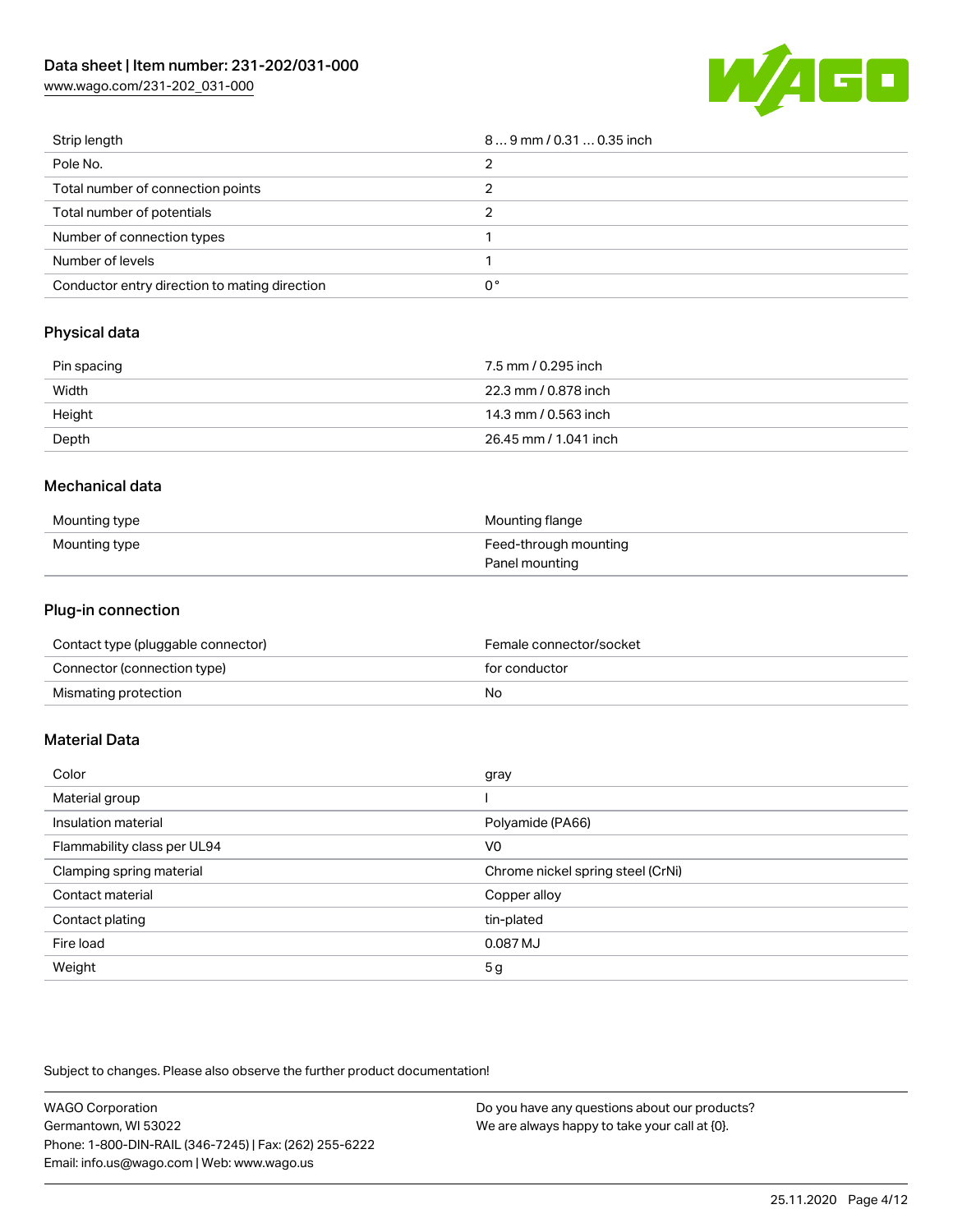[www.wago.com/231-202\\_031-000](http://www.wago.com/231-202_031-000)



| Strip length                                  | $89$ mm / 0.31  0.35 inch |
|-----------------------------------------------|---------------------------|
| Pole No.                                      |                           |
| Total number of connection points             |                           |
| Total number of potentials                    |                           |
| Number of connection types                    |                           |
| Number of levels                              |                           |
| Conductor entry direction to mating direction | 0°                        |

# Physical data

| Pin spacing | 7.5 mm / 0.295 inch   |
|-------------|-----------------------|
| Width       | 22.3 mm / 0.878 inch  |
| Height      | 14.3 mm / 0.563 inch  |
| Depth       | 26.45 mm / 1.041 inch |

## Mechanical data

| Mounting type | Mounting flange       |
|---------------|-----------------------|
| Mounting type | Feed-through mounting |
|               | Panel mounting        |

# Plug-in connection

| Contact type (pluggable connector) | Female connector/socket |
|------------------------------------|-------------------------|
| Connector (connection type)        | for conductor           |
| Mismating protection               | No                      |

## Material Data

| Color                       | gray                              |
|-----------------------------|-----------------------------------|
| Material group              |                                   |
| Insulation material         | Polyamide (PA66)                  |
| Flammability class per UL94 | V <sub>0</sub>                    |
| Clamping spring material    | Chrome nickel spring steel (CrNi) |
| Contact material            | Copper alloy                      |
| Contact plating             | tin-plated                        |
| Fire load                   | 0.087 MJ                          |
| Weight                      | 5 <sub>g</sub>                    |
|                             |                                   |

Subject to changes. Please also observe the further product documentation!

| <b>WAGO Corporation</b>                                | Do you have any questions about our products? |
|--------------------------------------------------------|-----------------------------------------------|
| Germantown, WI 53022                                   | We are always happy to take your call at {0}. |
| Phone: 1-800-DIN-RAIL (346-7245)   Fax: (262) 255-6222 |                                               |
| Email: info.us@wago.com   Web: www.wago.us             |                                               |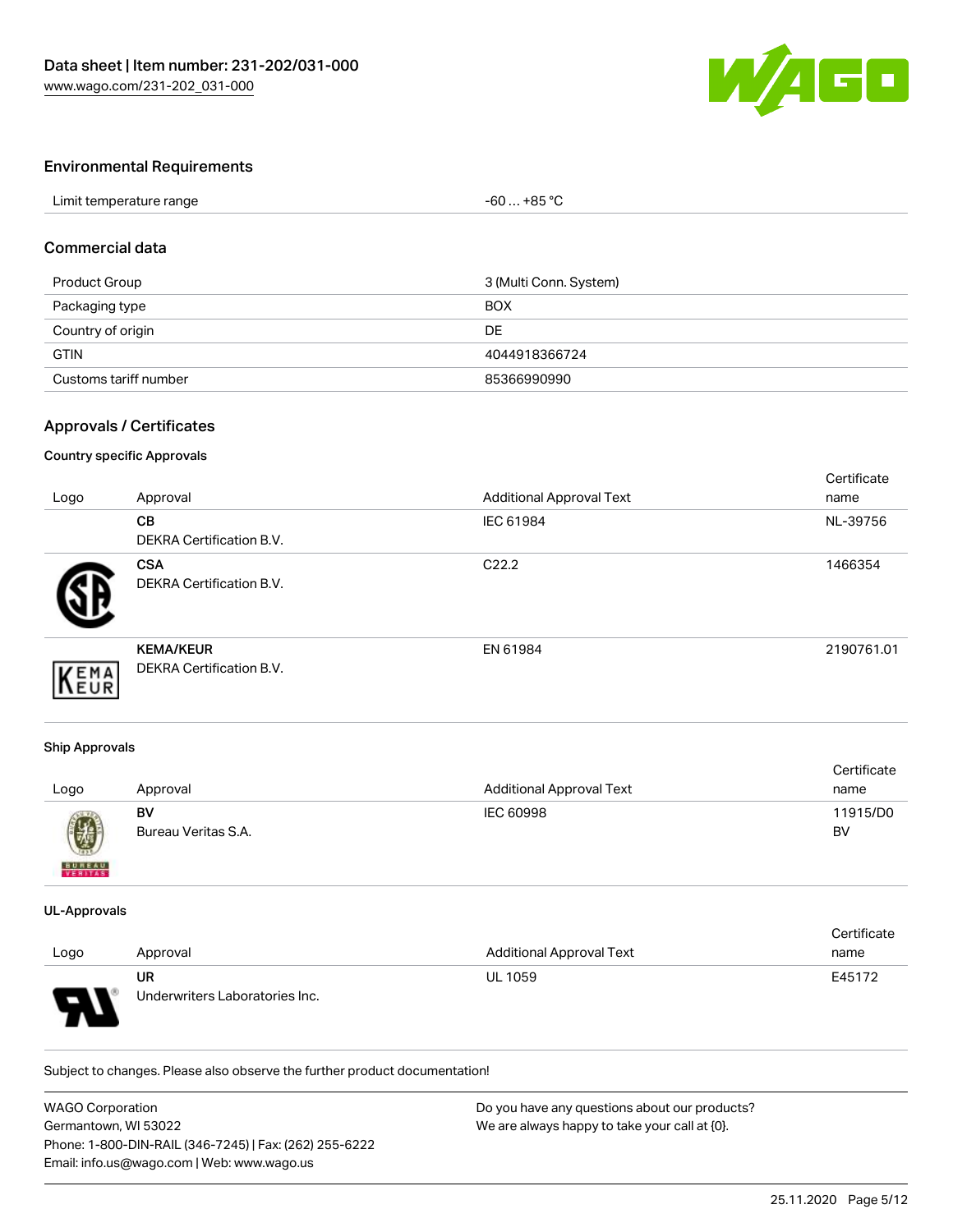

## Environmental Requirements

| Limit temperature range | +85 °C<br>-60 |  |
|-------------------------|---------------|--|

#### Commercial data

| Product Group         | 3 (Multi Conn. System) |
|-----------------------|------------------------|
| Packaging type        | <b>BOX</b>             |
| Country of origin     | DE.                    |
| <b>GTIN</b>           | 4044918366724          |
| Customs tariff number | 85366990990            |

#### Approvals / Certificates

#### Country specific Approvals

| Logo | Approval                                            | <b>Additional Approval Text</b> | Certificate<br>name |
|------|-----------------------------------------------------|---------------------------------|---------------------|
|      | CB<br>DEKRA Certification B.V.                      | IEC 61984                       | NL-39756            |
|      | <b>CSA</b><br><b>DEKRA Certification B.V.</b>       | C <sub>22.2</sub>               | 1466354             |
| EMA  | <b>KEMA/KEUR</b><br><b>DEKRA Certification B.V.</b> | EN 61984                        | 2190761.01          |

#### Ship Approvals

| Logo          | Approval                  | <b>Additional Approval Text</b> | Certificate<br>name |
|---------------|---------------------------|---------------------------------|---------------------|
| 0             | BV<br>Bureau Veritas S.A. | IEC 60998                       | 11915/D0<br>BV      |
| <b>BUNEAU</b> |                           |                                 |                     |

#### UL-Approvals

|      |                                |                                 | Certificate |
|------|--------------------------------|---------------------------------|-------------|
| Logo | Approval                       | <b>Additional Approval Text</b> | name        |
|      | UR                             | <b>UL 1059</b>                  | E45172      |
| o    | Underwriters Laboratories Inc. |                                 |             |

Subject to changes. Please also observe the further product documentation!

| <b>WAGO Corporation</b>                                | Do you have any questions about our products? |
|--------------------------------------------------------|-----------------------------------------------|
| Germantown, WI 53022                                   | We are always happy to take your call at {0}. |
| Phone: 1-800-DIN-RAIL (346-7245)   Fax: (262) 255-6222 |                                               |
| Email: info.us@wago.com   Web: www.wago.us             |                                               |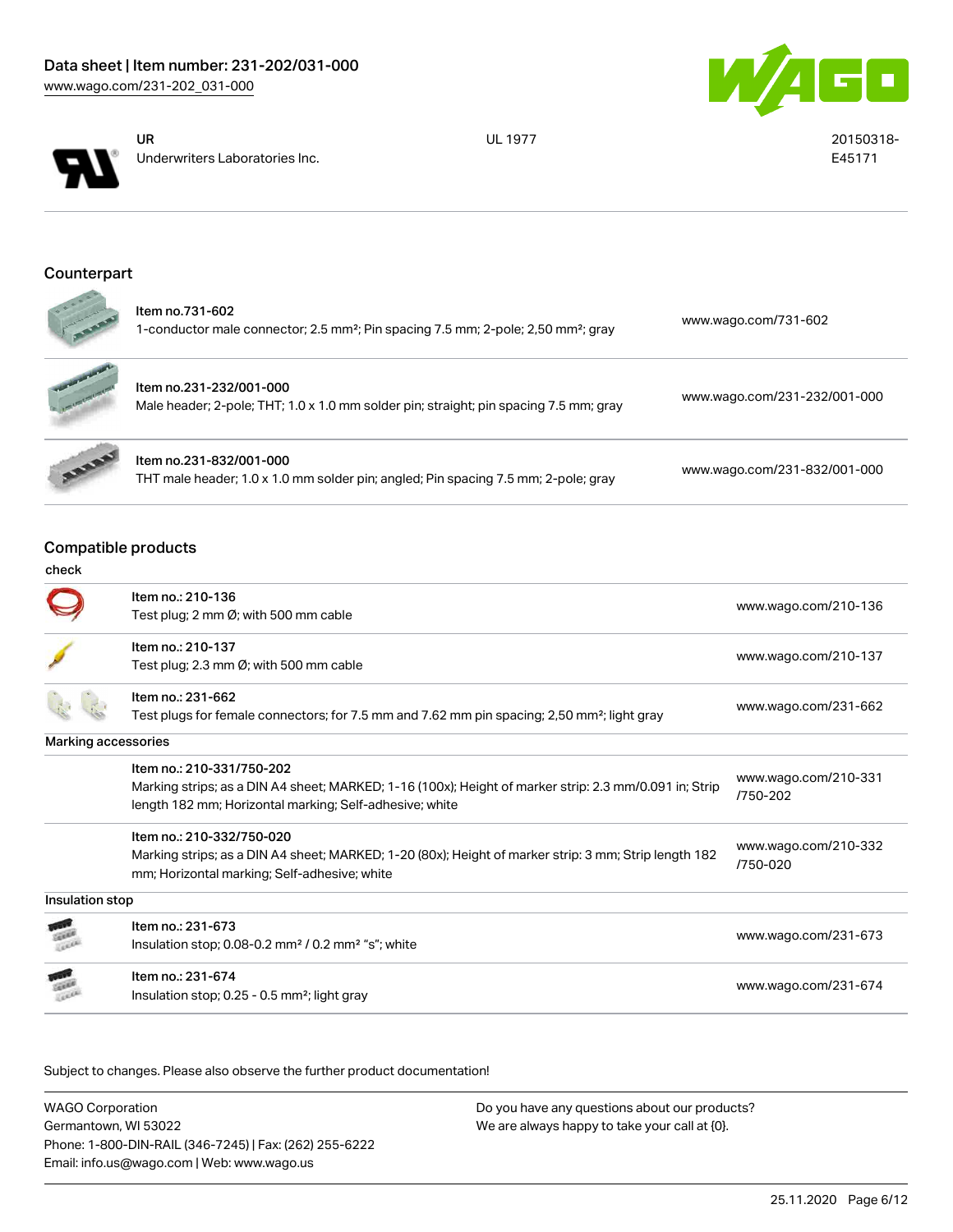



UR Underwriters Laboratories Inc. UL 1977 20150318-

E45171

# Counterpart

| $\sim 0$<br><b>CONTRACTOR</b> | Item no.731-602<br>1-conductor male connector; 2.5 mm <sup>2</sup> ; Pin spacing 7.5 mm; 2-pole; 2,50 mm <sup>2</sup> ; gray | www.wago.com/731-602         |
|-------------------------------|------------------------------------------------------------------------------------------------------------------------------|------------------------------|
| <b>CONTRACTORY</b>            | Item no.231-232/001-000<br>Male header; 2-pole; THT; 1.0 x 1.0 mm solder pin; straight; pin spacing 7.5 mm; gray             | www.wago.com/231-232/001-000 |
| <b>BARRY</b>                  | Item no.231-832/001-000<br>THT male header; 1.0 x 1.0 mm solder pin; angled; Pin spacing 7.5 mm; 2-pole; gray                | www.wago.com/231-832/001-000 |

Compatible products

| check               |                                                                                                         |                                  |
|---------------------|---------------------------------------------------------------------------------------------------------|----------------------------------|
|                     | Item no.: 210-136                                                                                       | www.wago.com/210-136             |
|                     | Test plug; 2 mm $\emptyset$ ; with 500 mm cable                                                         |                                  |
|                     | Item no.: 210-137                                                                                       |                                  |
|                     | Test plug; 2.3 mm $\emptyset$ ; with 500 mm cable                                                       | www.wago.com/210-137             |
|                     | Item no.: 231-662                                                                                       |                                  |
|                     | Test plugs for female connectors; for 7.5 mm and 7.62 mm pin spacing; 2,50 mm <sup>2</sup> ; light gray | www.wago.com/231-662             |
| Marking accessories |                                                                                                         |                                  |
|                     | Item no.: 210-331/750-202                                                                               |                                  |
|                     | Marking strips; as a DIN A4 sheet; MARKED; 1-16 (100x); Height of marker strip: 2.3 mm/0.091 in; Strip  | www.wago.com/210-331<br>/750-202 |
|                     | length 182 mm; Horizontal marking; Self-adhesive; white                                                 |                                  |
|                     | Item no.: 210-332/750-020                                                                               |                                  |
|                     | Marking strips; as a DIN A4 sheet; MARKED; 1-20 (80x); Height of marker strip: 3 mm; Strip length 182   | www.wago.com/210-332<br>/750-020 |
|                     | mm; Horizontal marking; Self-adhesive; white                                                            |                                  |
| Insulation stop     |                                                                                                         |                                  |
|                     | Item no.: 231-673                                                                                       |                                  |
|                     | Insulation stop; $0.08$ -0.2 mm <sup>2</sup> / $0.2$ mm <sup>2</sup> "s"; white                         | www.wago.com/231-673             |
|                     | Item no.: 231-674                                                                                       |                                  |
|                     | Insulation stop; 0.25 - 0.5 mm <sup>2</sup> ; light gray                                                | www.wago.com/231-674             |

Subject to changes. Please also observe the further product documentation!

WAGO Corporation Germantown, WI 53022 Phone: 1-800-DIN-RAIL (346-7245) | Fax: (262) 255-6222 Email: info.us@wago.com | Web: www.wago.us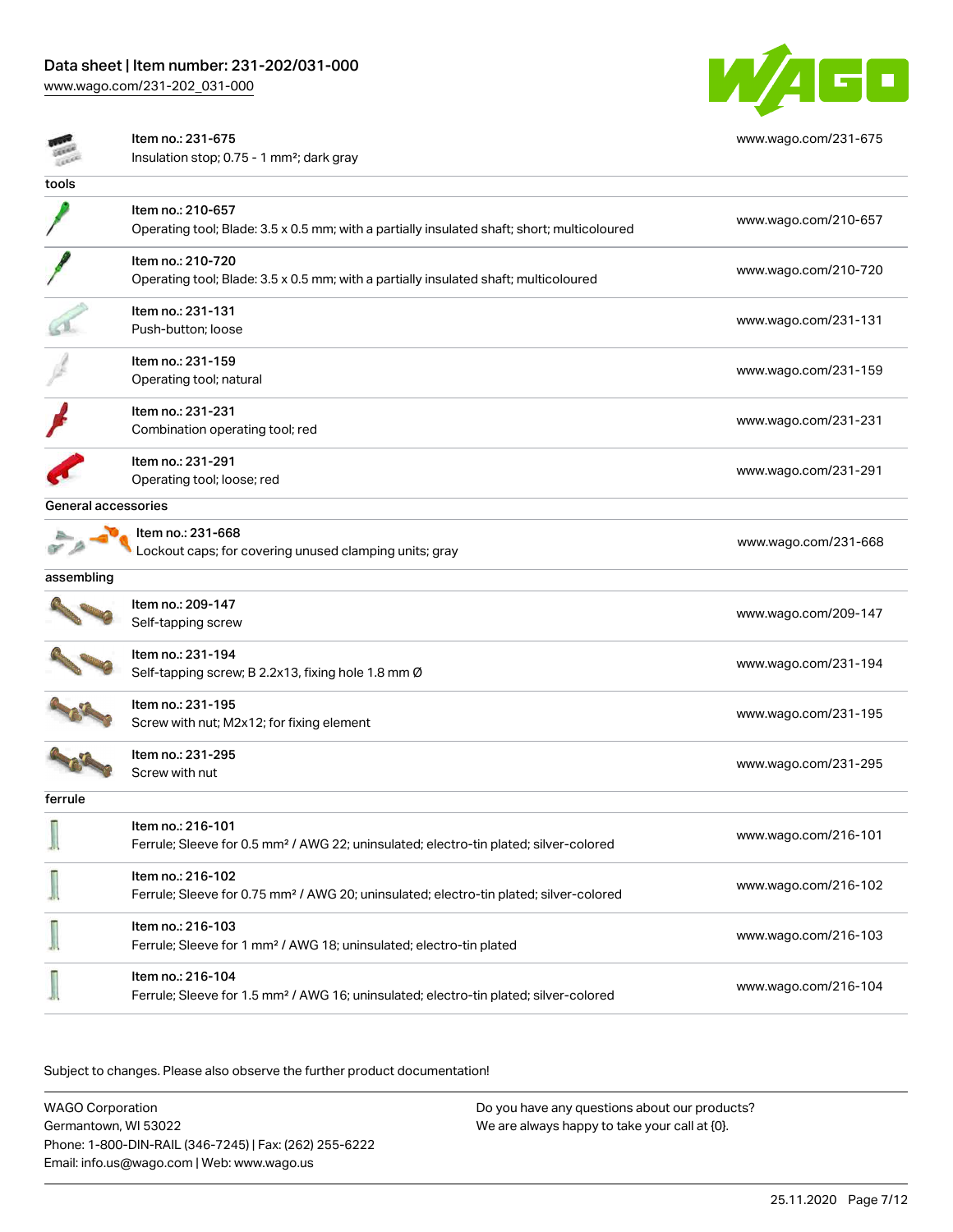# Data sheet | Item number: 231-202/031-000

[www.wago.com/231-202\\_031-000](http://www.wago.com/231-202_031-000)



[www.wago.com/231-675](http://www.wago.com/231-675)

#### Item no.: 231-675

Insulation stop; 0.75 - 1 mm²; dark gray

| tools               |                                                                                                                         |                      |
|---------------------|-------------------------------------------------------------------------------------------------------------------------|----------------------|
|                     | Item no.: 210-657<br>Operating tool; Blade: 3.5 x 0.5 mm; with a partially insulated shaft; short; multicoloured        | www.wago.com/210-657 |
|                     | Item no.: 210-720<br>Operating tool; Blade: 3.5 x 0.5 mm; with a partially insulated shaft; multicoloured               | www.wago.com/210-720 |
|                     | Item no.: 231-131<br>Push-button; loose                                                                                 | www.wago.com/231-131 |
|                     | Item no.: 231-159<br>Operating tool; natural                                                                            | www.wago.com/231-159 |
|                     | Item no.: 231-231<br>Combination operating tool; red                                                                    | www.wago.com/231-231 |
|                     | Item no.: 231-291<br>Operating tool; loose; red                                                                         | www.wago.com/231-291 |
| General accessories |                                                                                                                         |                      |
|                     | Item no.: 231-668<br>Lockout caps; for covering unused clamping units; gray                                             | www.wago.com/231-668 |
| assembling          |                                                                                                                         |                      |
|                     | Item no.: 209-147<br>Self-tapping screw                                                                                 | www.wago.com/209-147 |
|                     | Item no.: 231-194<br>Self-tapping screw; B 2.2x13, fixing hole 1.8 mm Ø                                                 | www.wago.com/231-194 |
|                     | Item no.: 231-195<br>Screw with nut; M2x12; for fixing element                                                          | www.wago.com/231-195 |
|                     | Item no.: 231-295<br>Screw with nut                                                                                     | www.wago.com/231-295 |
| ferrule             |                                                                                                                         |                      |
|                     | Item no.: 216-101<br>Ferrule; Sleeve for 0.5 mm <sup>2</sup> / AWG 22; uninsulated; electro-tin plated; silver-colored  | www.wago.com/216-101 |
|                     | Item no.: 216-102<br>Ferrule; Sleeve for 0.75 mm <sup>2</sup> / AWG 20; uninsulated; electro-tin plated; silver-colored | www.wago.com/216-102 |
|                     | Item no.: 216-103<br>Ferrule; Sleeve for 1 mm <sup>2</sup> / AWG 18; uninsulated; electro-tin plated                    | www.wago.com/216-103 |
|                     | Item no.: 216-104<br>Ferrule; Sleeve for 1.5 mm <sup>2</sup> / AWG 16; uninsulated; electro-tin plated; silver-colored  | www.wago.com/216-104 |

Subject to changes. Please also observe the further product documentation!

WAGO Corporation Germantown, WI 53022 Phone: 1-800-DIN-RAIL (346-7245) | Fax: (262) 255-6222 Email: info.us@wago.com | Web: www.wago.us Do you have any questions about our products? We are always happy to take your call at {0}.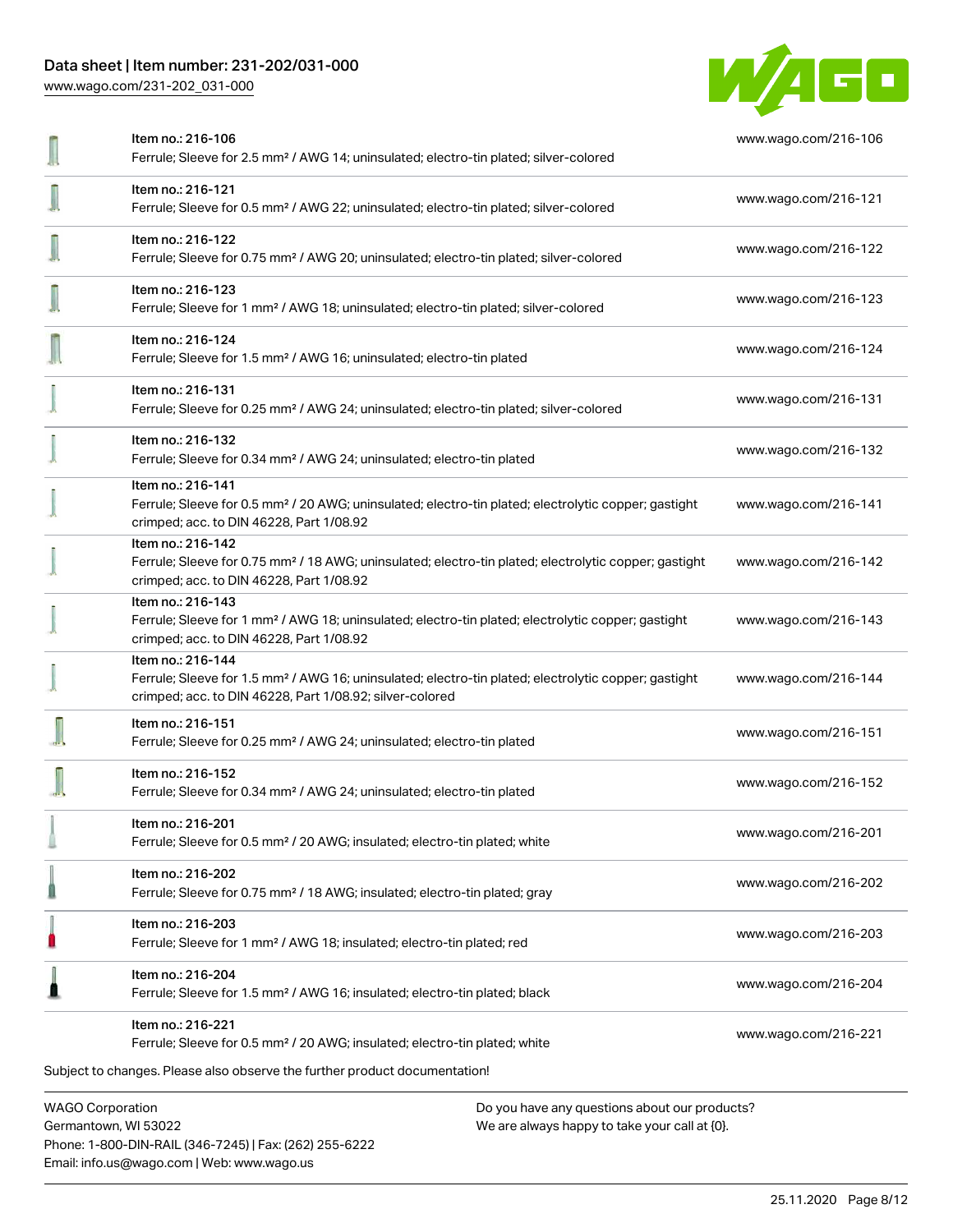# Data sheet | Item number: 231-202/031-000

[www.wago.com/231-202\\_031-000](http://www.wago.com/231-202_031-000)



| Item no.: 216-106<br>Ferrule; Sleeve for 2.5 mm <sup>2</sup> / AWG 14; uninsulated; electro-tin plated; silver-colored                                                                            | www.wago.com/216-106 |
|---------------------------------------------------------------------------------------------------------------------------------------------------------------------------------------------------|----------------------|
| Item no.: 216-121<br>Ferrule; Sleeve for 0.5 mm <sup>2</sup> / AWG 22; uninsulated; electro-tin plated; silver-colored                                                                            | www.wago.com/216-121 |
| Item no.: 216-122<br>Ferrule; Sleeve for 0.75 mm <sup>2</sup> / AWG 20; uninsulated; electro-tin plated; silver-colored                                                                           | www.wago.com/216-122 |
| Item no.: 216-123<br>Ferrule; Sleeve for 1 mm <sup>2</sup> / AWG 18; uninsulated; electro-tin plated; silver-colored                                                                              | www.wago.com/216-123 |
| Item no.: 216-124<br>Ferrule; Sleeve for 1.5 mm <sup>2</sup> / AWG 16; uninsulated; electro-tin plated                                                                                            | www.wago.com/216-124 |
| Item no.: 216-131<br>Ferrule; Sleeve for 0.25 mm <sup>2</sup> / AWG 24; uninsulated; electro-tin plated; silver-colored                                                                           | www.wago.com/216-131 |
| Item no.: 216-132<br>Ferrule; Sleeve for 0.34 mm <sup>2</sup> / AWG 24; uninsulated; electro-tin plated                                                                                           | www.wago.com/216-132 |
| Item no.: 216-141<br>Ferrule; Sleeve for 0.5 mm <sup>2</sup> / 20 AWG; uninsulated; electro-tin plated; electrolytic copper; gastight<br>crimped; acc. to DIN 46228, Part 1/08.92                 | www.wago.com/216-141 |
| Item no.: 216-142<br>Ferrule; Sleeve for 0.75 mm <sup>2</sup> / 18 AWG; uninsulated; electro-tin plated; electrolytic copper; gastight<br>crimped; acc. to DIN 46228, Part 1/08.92                | www.wago.com/216-142 |
| Item no.: 216-143<br>Ferrule; Sleeve for 1 mm <sup>2</sup> / AWG 18; uninsulated; electro-tin plated; electrolytic copper; gastight<br>crimped; acc. to DIN 46228, Part 1/08.92                   | www.wago.com/216-143 |
| Item no.: 216-144<br>Ferrule; Sleeve for 1.5 mm <sup>2</sup> / AWG 16; uninsulated; electro-tin plated; electrolytic copper; gastight<br>crimped; acc. to DIN 46228, Part 1/08.92; silver-colored | www.wago.com/216-144 |
| Item no.: 216-151<br>Ferrule; Sleeve for 0.25 mm <sup>2</sup> / AWG 24; uninsulated; electro-tin plated                                                                                           | www.wago.com/216-151 |
| Item no.: 216-152<br>Ferrule; Sleeve for 0.34 mm <sup>2</sup> / AWG 24; uninsulated; electro-tin plated                                                                                           | www.wago.com/216-152 |
| Item no.: 216-201<br>Ferrule; Sleeve for 0.5 mm <sup>2</sup> / 20 AWG; insulated; electro-tin plated; white                                                                                       | www.wago.com/216-201 |
| Item no.: 216-202<br>Ferrule; Sleeve for 0.75 mm <sup>2</sup> / 18 AWG; insulated; electro-tin plated; gray                                                                                       | www.wago.com/216-202 |
| Item no.: 216-203<br>Ferrule; Sleeve for 1 mm <sup>2</sup> / AWG 18; insulated; electro-tin plated; red                                                                                           | www.wago.com/216-203 |
| Item no.: 216-204<br>Ferrule; Sleeve for 1.5 mm <sup>2</sup> / AWG 16; insulated; electro-tin plated; black                                                                                       | www.wago.com/216-204 |
| Item no.: 216-221<br>Ferrule; Sleeve for 0.5 mm <sup>2</sup> / 20 AWG; insulated; electro-tin plated; white                                                                                       | www.wago.com/216-221 |
| Subject to changes. Please also observe the further product documentation!                                                                                                                        |                      |
| <b>WAGO Corporation</b><br>Do you have any questions about our products?                                                                                                                          |                      |

Germantown, WI 53022 Phone: 1-800-DIN-RAIL (346-7245) | Fax: (262) 255-6222 Email: info.us@wago.com | Web: www.wago.us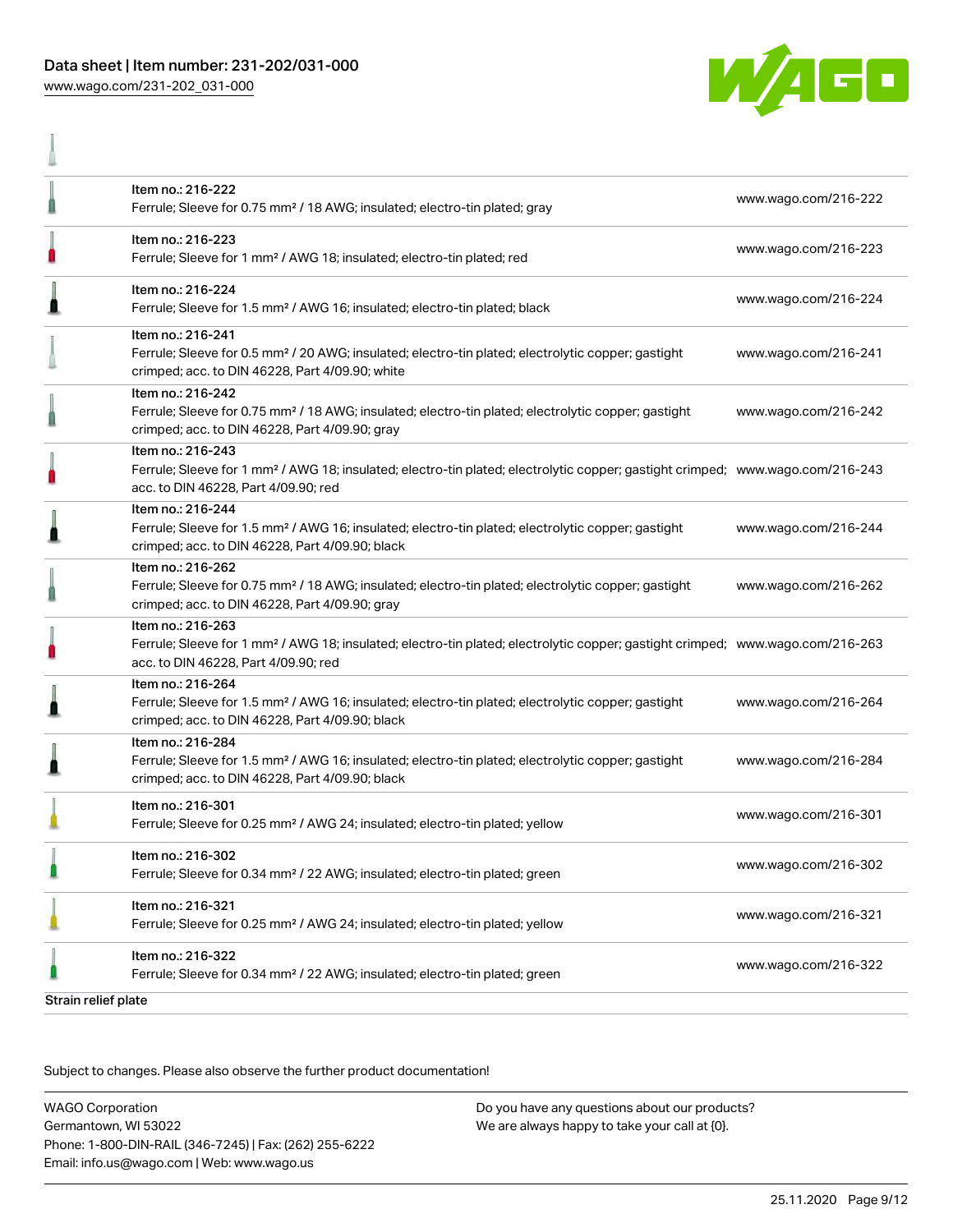# Data sheet | Item number: 231-202/031-000 [www.wago.com/231-202\\_031-000](http://www.wago.com/231-202_031-000)

A



|                     | Item no.: 216-222<br>Ferrule; Sleeve for 0.75 mm <sup>2</sup> / 18 AWG; insulated; electro-tin plated; gray                                                                                             | www.wago.com/216-222 |
|---------------------|---------------------------------------------------------------------------------------------------------------------------------------------------------------------------------------------------------|----------------------|
|                     | Item no.: 216-223<br>Ferrule; Sleeve for 1 mm <sup>2</sup> / AWG 18; insulated; electro-tin plated; red                                                                                                 | www.wago.com/216-223 |
| Л                   | Item no.: 216-224<br>Ferrule; Sleeve for 1.5 mm <sup>2</sup> / AWG 16; insulated; electro-tin plated; black                                                                                             | www.wago.com/216-224 |
|                     | Item no.: 216-241<br>Ferrule; Sleeve for 0.5 mm <sup>2</sup> / 20 AWG; insulated; electro-tin plated; electrolytic copper; gastight<br>crimped; acc. to DIN 46228, Part 4/09.90; white                  | www.wago.com/216-241 |
|                     | Item no.: 216-242<br>Ferrule; Sleeve for 0.75 mm <sup>2</sup> / 18 AWG; insulated; electro-tin plated; electrolytic copper; gastight<br>crimped; acc. to DIN 46228, Part 4/09.90; gray                  | www.wago.com/216-242 |
|                     | Item no.: 216-243<br>Ferrule; Sleeve for 1 mm <sup>2</sup> / AWG 18; insulated; electro-tin plated; electrolytic copper; gastight crimped; www.wago.com/216-243<br>acc. to DIN 46228, Part 4/09.90; red |                      |
|                     | Item no.: 216-244<br>Ferrule; Sleeve for 1.5 mm <sup>2</sup> / AWG 16; insulated; electro-tin plated; electrolytic copper; gastight<br>crimped; acc. to DIN 46228, Part 4/09.90; black                  | www.wago.com/216-244 |
|                     | Item no.: 216-262<br>Ferrule; Sleeve for 0.75 mm <sup>2</sup> / 18 AWG; insulated; electro-tin plated; electrolytic copper; gastight<br>crimped; acc. to DIN 46228, Part 4/09.90; gray                  | www.wago.com/216-262 |
|                     | Item no.: 216-263<br>Ferrule; Sleeve for 1 mm <sup>2</sup> / AWG 18; insulated; electro-tin plated; electrolytic copper; gastight crimped; www.wago.com/216-263<br>acc. to DIN 46228, Part 4/09.90; red |                      |
|                     | Item no.: 216-264<br>Ferrule; Sleeve for 1.5 mm <sup>2</sup> / AWG 16; insulated; electro-tin plated; electrolytic copper; gastight<br>crimped; acc. to DIN 46228, Part 4/09.90; black                  | www.wago.com/216-264 |
|                     | Item no.: 216-284<br>Ferrule; Sleeve for 1.5 mm <sup>2</sup> / AWG 16; insulated; electro-tin plated; electrolytic copper; gastight<br>crimped; acc. to DIN 46228, Part 4/09.90; black                  | www.wago.com/216-284 |
|                     | Item no.: 216-301<br>Ferrule; Sleeve for 0.25 mm <sup>2</sup> / AWG 24; insulated; electro-tin plated; yellow                                                                                           | www.wago.com/216-301 |
|                     | Item no.: 216-302<br>Ferrule; Sleeve for 0.34 mm <sup>2</sup> / 22 AWG; insulated; electro-tin plated; green                                                                                            | www.wago.com/216-302 |
|                     | Item no.: 216-321<br>Ferrule; Sleeve for 0.25 mm <sup>2</sup> / AWG 24; insulated; electro-tin plated; yellow                                                                                           | www.wago.com/216-321 |
|                     | Item no.: 216-322<br>Ferrule; Sleeve for 0.34 mm <sup>2</sup> / 22 AWG; insulated; electro-tin plated; green                                                                                            | www.wago.com/216-322 |
| Strain relief plate |                                                                                                                                                                                                         |                      |

Subject to changes. Please also observe the further product documentation!

WAGO Corporation Germantown, WI 53022 Phone: 1-800-DIN-RAIL (346-7245) | Fax: (262) 255-6222 Email: info.us@wago.com | Web: www.wago.us Do you have any questions about our products? We are always happy to take your call at {0}.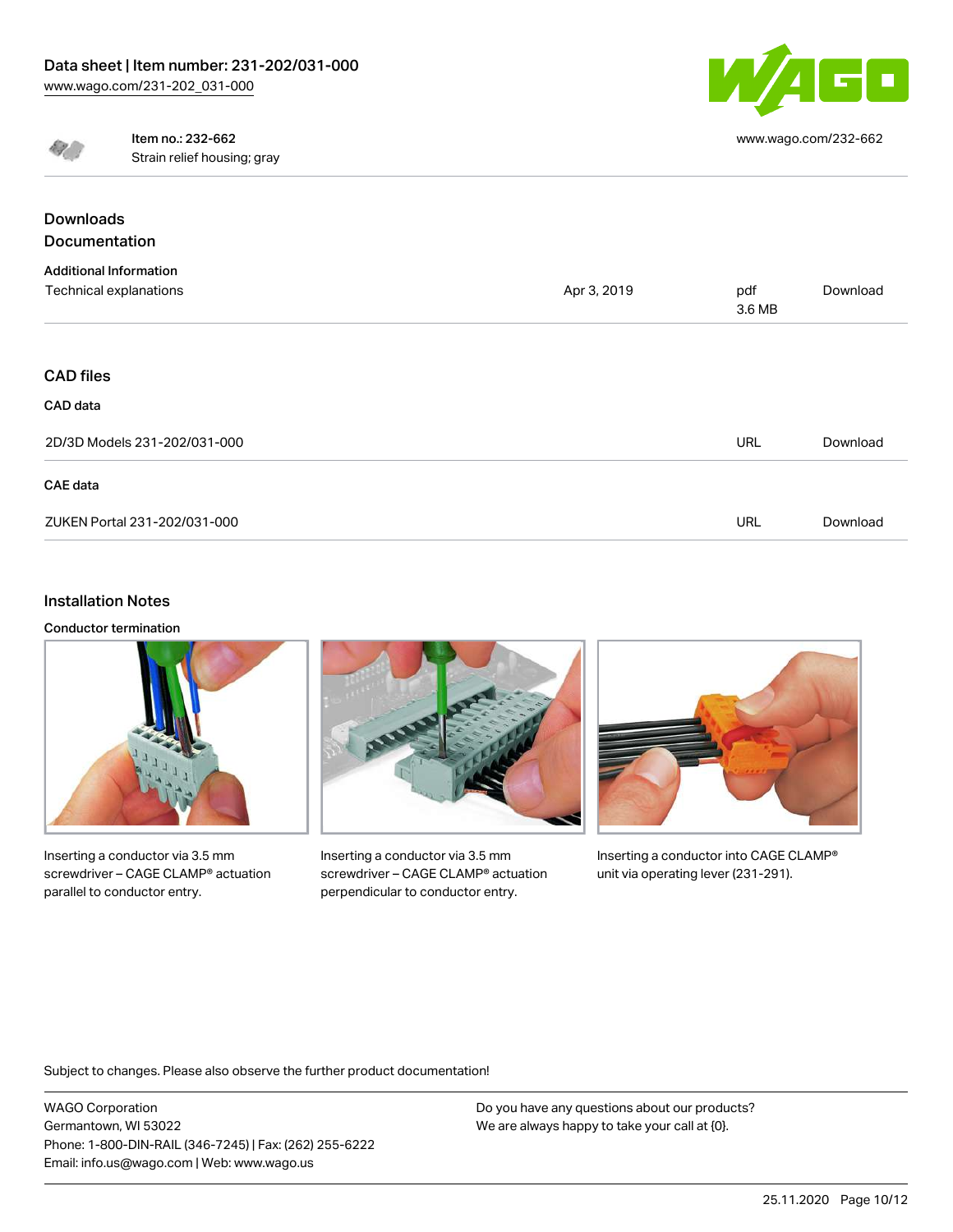

[www.wago.com/232-662](http://www.wago.com/232-662)



Item no.: 232-662 Strain relief housing; gray

| <b>Downloads</b>              |             |               |          |
|-------------------------------|-------------|---------------|----------|
| Documentation                 |             |               |          |
| <b>Additional Information</b> |             |               |          |
| Technical explanations        | Apr 3, 2019 | pdf<br>3.6 MB | Download |
|                               |             |               |          |
| <b>CAD files</b>              |             |               |          |
| CAD data                      |             |               |          |
| 2D/3D Models 231-202/031-000  |             | <b>URL</b>    | Download |
| CAE data                      |             |               |          |
| ZUKEN Portal 231-202/031-000  |             | <b>URL</b>    | Download |

## Installation Notes

Conductor termination



Inserting a conductor via 3.5 mm screwdriver – CAGE CLAMP® actuation parallel to conductor entry.



Inserting a conductor via 3.5 mm screwdriver – CAGE CLAMP® actuation perpendicular to conductor entry.



Inserting a conductor into CAGE CLAMP® unit via operating lever (231-291).

Subject to changes. Please also observe the further product documentation!

WAGO Corporation Germantown, WI 53022 Phone: 1-800-DIN-RAIL (346-7245) | Fax: (262) 255-6222 Email: info.us@wago.com | Web: www.wago.us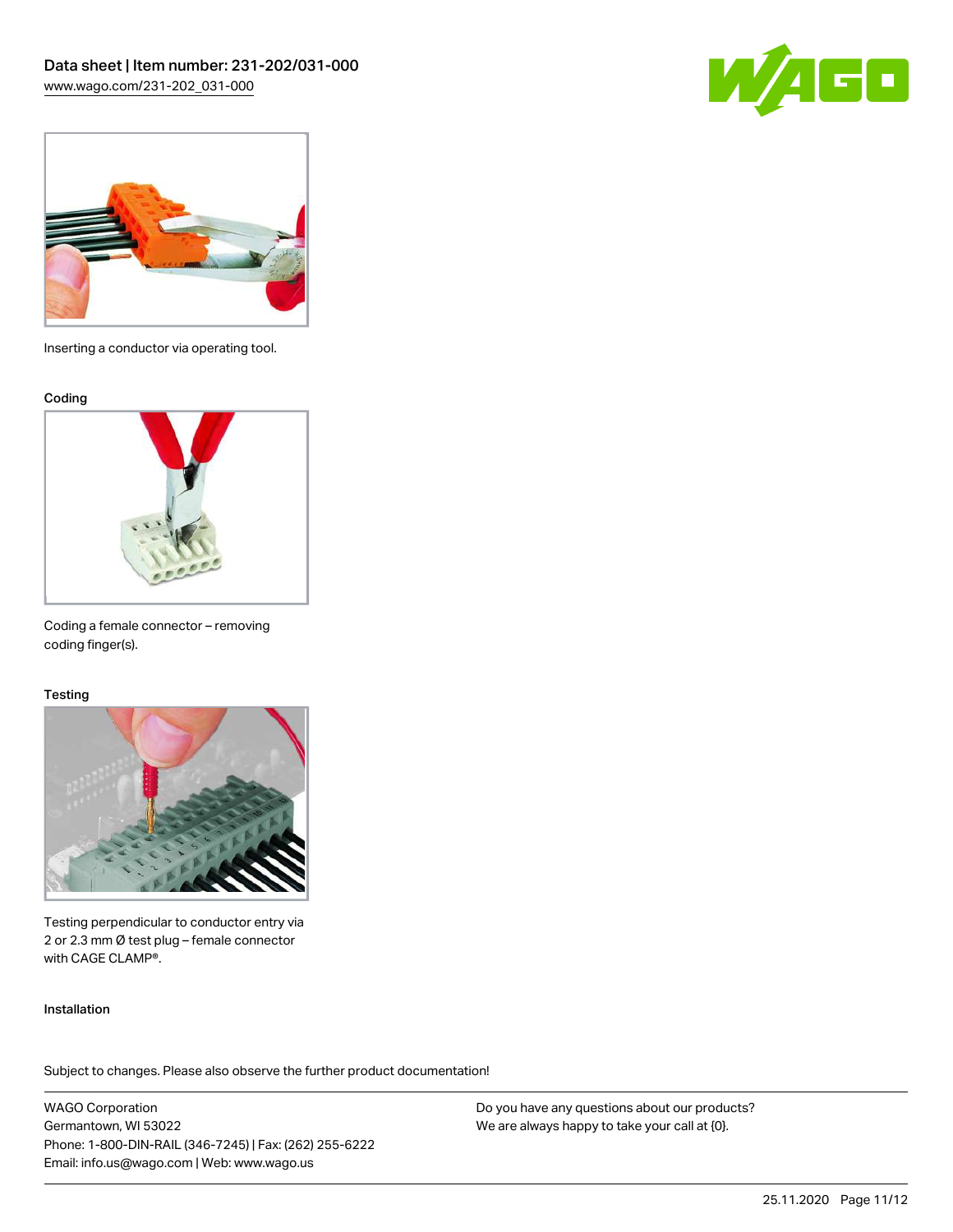



Inserting a conductor via operating tool.

#### Coding



Coding a female connector – removing coding finger(s).

#### **Testing**



Testing perpendicular to conductor entry via 2 or 2.3 mm Ø test plug – female connector with CAGE CLAMP®.

#### Installation

Subject to changes. Please also observe the further product documentation!

WAGO Corporation Germantown, WI 53022 Phone: 1-800-DIN-RAIL (346-7245) | Fax: (262) 255-6222 Email: info.us@wago.com | Web: www.wago.us